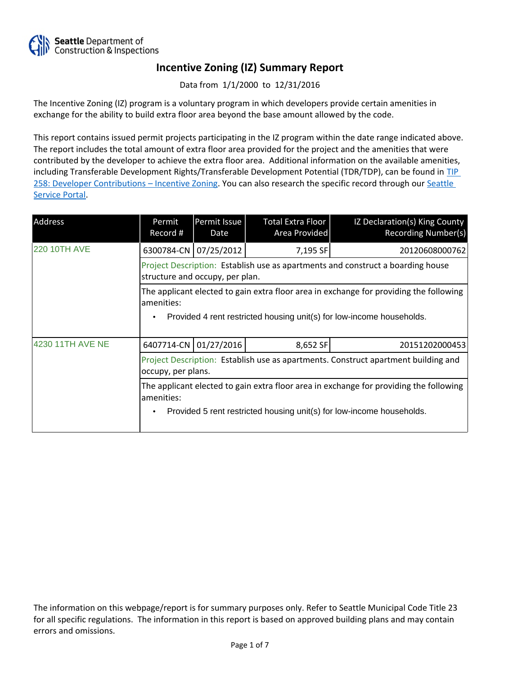

Data from 1/1/2000 to 12/31/2016

The Incentive Zoning (IZ) program is a voluntary program in which developers provide certain amenities in exchange for the ability to build extra floor area beyond the base amount allowed by the code.

This report contains issued permit projects participating in the IZ program within the date range indicated above. The report includes the total amount of extra floor area provided for the project and the amenities that were contributed by the developer to achieve the extra floor area. Additional information on the available amenities, including Transferable Development Rights/Transferable Development Potential (TDR/TDP), can be found in [TIP](http://www.seattle.gov/DPD/Publications/CAM/Tip258.pdf)  [258: Developer Contributions](http://www.seattle.gov/DPD/Publications/CAM/Tip258.pdf) [–](http://www.seattle.gov/DPD/Publications/CAM/Tip258.pdf) [Incentive Zoning.](http://www.seattle.gov/DPD/Publications/CAM/Tip258.pdf) You can also research the specific record through our [Seattle](https://cosaccela.seattle.gov/portal/welcome.aspx)  [Service Portal](https://cosaccela.seattle.gov/portal/welcome.aspx).

| Address             | Permit<br>Record #                                                                                                                                                            | Permit Issue<br>Date | <b>Total Extra Floor</b><br>Area Provided | IZ Declaration(s) King County<br><b>Recording Number(s)</b> |  |  |
|---------------------|-------------------------------------------------------------------------------------------------------------------------------------------------------------------------------|----------------------|-------------------------------------------|-------------------------------------------------------------|--|--|
| <b>220 10TH AVE</b> | 6300784-CN 07/25/2012                                                                                                                                                         |                      | 7,195 SF                                  | 20120608000762                                              |  |  |
|                     | Project Description: Establish use as apartments and construct a boarding house<br>structure and occupy, per plan.                                                            |                      |                                           |                                                             |  |  |
|                     | The applicant elected to gain extra floor area in exchange for providing the following<br>amenities:<br>Provided 4 rent restricted housing unit(s) for low-income households. |                      |                                           |                                                             |  |  |
| 4230 11TH AVE NE    | 6407714-CN 01/27/2016                                                                                                                                                         |                      | 8,652 SF                                  | 20151202000453                                              |  |  |
|                     | Project Description: Establish use as apartments. Construct apartment building and<br>occupy, per plans.                                                                      |                      |                                           |                                                             |  |  |
|                     | The applicant elected to gain extra floor area in exchange for providing the following<br>amenities:<br>Provided 5 rent restricted housing unit(s) for low-income households. |                      |                                           |                                                             |  |  |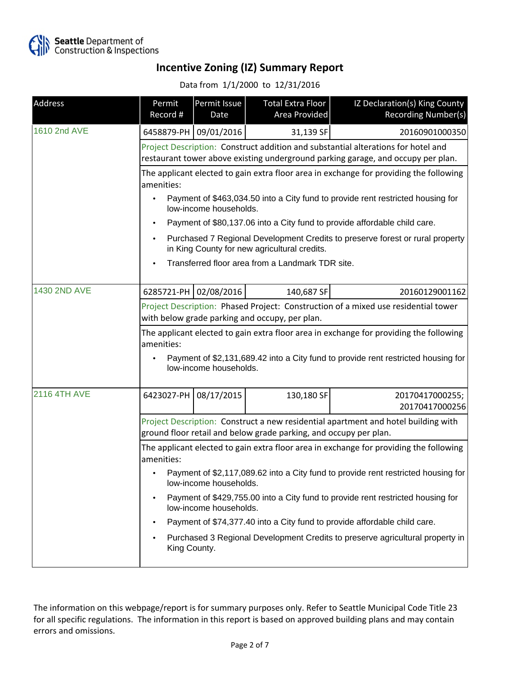

Data from 1/1/2000 to 12/31/2016

| Address             | Permit<br>Record #                                                                                                                                                                        | Permit Issue<br>Date  | Total Extra Floor<br>Area Provided               | IZ Declaration(s) King County<br>Recording Number(s)                          |  |
|---------------------|-------------------------------------------------------------------------------------------------------------------------------------------------------------------------------------------|-----------------------|--------------------------------------------------|-------------------------------------------------------------------------------|--|
| 1610 2nd AVE        |                                                                                                                                                                                           | 6458879-PH 09/01/2016 | 31,139 SF                                        | 20160901000350                                                                |  |
|                     | Project Description: Construct addition and substantial alterations for hotel and<br>restaurant tower above existing underground parking garage, and occupy per plan.                     |                       |                                                  |                                                                               |  |
|                     | The applicant elected to gain extra floor area in exchange for providing the following<br>amenities:                                                                                      |                       |                                                  |                                                                               |  |
|                     | Payment of \$463,034.50 into a City fund to provide rent restricted housing for<br>low-income households.                                                                                 |                       |                                                  |                                                                               |  |
|                     |                                                                                                                                                                                           |                       |                                                  | Payment of \$80,137.06 into a City fund to provide affordable child care.     |  |
|                     | Purchased 7 Regional Development Credits to preserve forest or rural property<br>in King County for new agricultural credits.                                                             |                       |                                                  |                                                                               |  |
|                     |                                                                                                                                                                                           |                       | Transferred floor area from a Landmark TDR site. |                                                                               |  |
| 1430 2ND AVE        |                                                                                                                                                                                           | 6285721-PH 02/08/2016 | 140,687 SF                                       | 20160129001162                                                                |  |
|                     | Project Description: Phased Project: Construction of a mixed use residential tower<br>with below grade parking and occupy, per plan.                                                      |                       |                                                  |                                                                               |  |
|                     | The applicant elected to gain extra floor area in exchange for providing the following<br>amenities:<br>Payment of \$2,131,689.42 into a City fund to provide rent restricted housing for |                       |                                                  |                                                                               |  |
|                     | low-income households.                                                                                                                                                                    |                       |                                                  |                                                                               |  |
| <b>2116 4TH AVE</b> | 6423027-PH 08/17/2015                                                                                                                                                                     |                       | 130,180 SF                                       | 20170417000255;<br>20170417000256                                             |  |
|                     | Project Description: Construct a new residential apartment and hotel building with<br>ground floor retail and below grade parking, and occupy per plan.                                   |                       |                                                  |                                                                               |  |
|                     | The applicant elected to gain extra floor area in exchange for providing the following<br>amenities:                                                                                      |                       |                                                  |                                                                               |  |
|                     | Payment of \$2,117,089.62 into a City fund to provide rent restricted housing for<br>low-income households.                                                                               |                       |                                                  |                                                                               |  |
|                     | Payment of \$429,755.00 into a City fund to provide rent restricted housing for<br>low-income households.                                                                                 |                       |                                                  |                                                                               |  |
|                     | Payment of \$74,377.40 into a City fund to provide affordable child care.                                                                                                                 |                       |                                                  |                                                                               |  |
|                     | King County.                                                                                                                                                                              |                       |                                                  | Purchased 3 Regional Development Credits to preserve agricultural property in |  |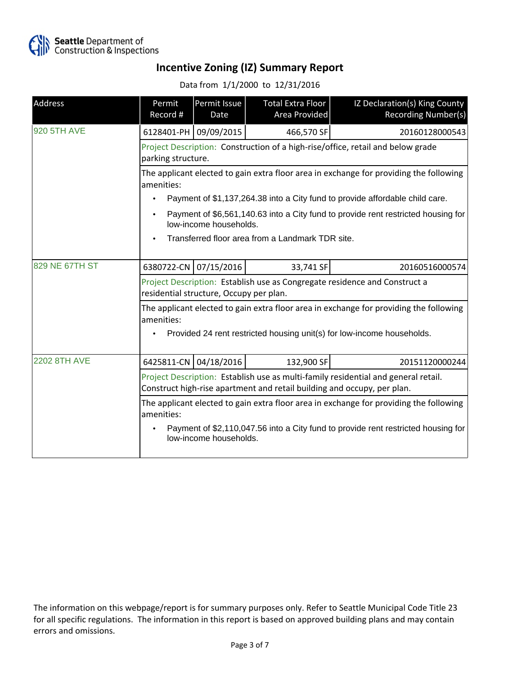

Data from 1/1/2000 to 12/31/2016

| Address             | Permit<br>Record #                                                                                                                                            | Permit Issue<br>Date   | Total Extra Floor<br>Area Provided               | IZ Declaration(s) King County<br>Recording Number(s)                                                                                                             |  |
|---------------------|---------------------------------------------------------------------------------------------------------------------------------------------------------------|------------------------|--------------------------------------------------|------------------------------------------------------------------------------------------------------------------------------------------------------------------|--|
| <b>920 5TH AVE</b>  | 6128401-PH 09/09/2015                                                                                                                                         |                        | 466,570 SF                                       | 20160128000543                                                                                                                                                   |  |
|                     | Project Description: Construction of a high-rise/office, retail and below grade<br>parking structure.                                                         |                        |                                                  |                                                                                                                                                                  |  |
|                     | The applicant elected to gain extra floor area in exchange for providing the following<br>amenities:                                                          |                        |                                                  |                                                                                                                                                                  |  |
|                     |                                                                                                                                                               |                        |                                                  | Payment of \$1,137,264.38 into a City fund to provide affordable child care.                                                                                     |  |
|                     | Payment of \$6,561,140.63 into a City fund to provide rent restricted housing for<br>low-income households.                                                   |                        |                                                  |                                                                                                                                                                  |  |
|                     |                                                                                                                                                               |                        | Transferred floor area from a Landmark TDR site. |                                                                                                                                                                  |  |
| 829 NE 67TH ST      | 6380722-CN 07/15/2016                                                                                                                                         |                        | 33,741 SF                                        | 20160516000574                                                                                                                                                   |  |
|                     | Project Description: Establish use as Congregate residence and Construct a<br>residential structure, Occupy per plan.                                         |                        |                                                  |                                                                                                                                                                  |  |
|                     | amenities:                                                                                                                                                    |                        |                                                  | The applicant elected to gain extra floor area in exchange for providing the following<br>Provided 24 rent restricted housing unit(s) for low-income households. |  |
| <b>2202 8TH AVE</b> |                                                                                                                                                               | 6425811-CN 04/18/2016  | 132,900 SF                                       | 20151120000244                                                                                                                                                   |  |
|                     | Project Description: Establish use as multi-family residential and general retail.<br>Construct high-rise apartment and retail building and occupy, per plan. |                        |                                                  |                                                                                                                                                                  |  |
|                     | The applicant elected to gain extra floor area in exchange for providing the following<br>amenities:                                                          |                        |                                                  |                                                                                                                                                                  |  |
|                     |                                                                                                                                                               | low-income households. |                                                  | Payment of \$2,110,047.56 into a City fund to provide rent restricted housing for                                                                                |  |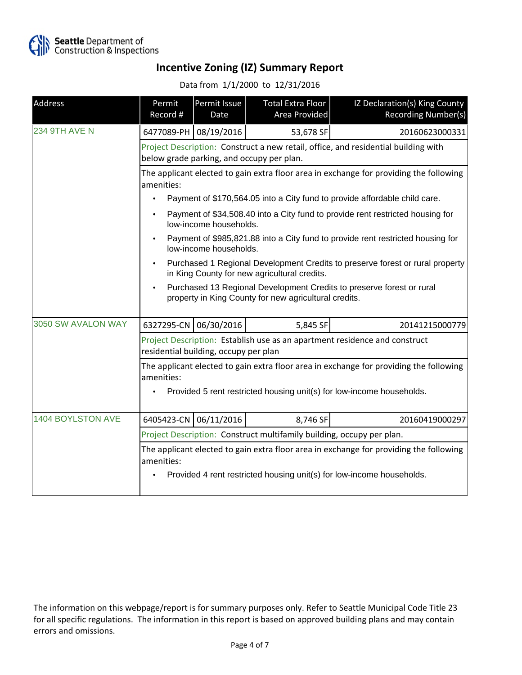

Data from 1/1/2000 to 12/31/2016

| Address              | Permit<br>Record #                                                                                                                          | Permit Issue<br>Date  | <b>Total Extra Floor</b><br>Area Provided | IZ Declaration(s) King County<br>Recording Number(s)                       |  |
|----------------------|---------------------------------------------------------------------------------------------------------------------------------------------|-----------------------|-------------------------------------------|----------------------------------------------------------------------------|--|
| <b>234 9TH AVE N</b> |                                                                                                                                             | 6477089-PH 08/19/2016 | 53,678 SF                                 | 20160623000331                                                             |  |
|                      | Project Description: Construct a new retail, office, and residential building with<br>below grade parking, and occupy per plan.             |                       |                                           |                                                                            |  |
|                      | The applicant elected to gain extra floor area in exchange for providing the following<br>amenities:                                        |                       |                                           |                                                                            |  |
|                      |                                                                                                                                             |                       |                                           | Payment of \$170,564.05 into a City fund to provide affordable child care. |  |
|                      | Payment of \$34,508.40 into a City fund to provide rent restricted housing for<br>$\bullet$<br>low-income households.                       |                       |                                           |                                                                            |  |
|                      | Payment of \$985,821.88 into a City fund to provide rent restricted housing for<br>low-income households.                                   |                       |                                           |                                                                            |  |
|                      | Purchased 1 Regional Development Credits to preserve forest or rural property<br>in King County for new agricultural credits.               |                       |                                           |                                                                            |  |
|                      | Purchased 13 Regional Development Credits to preserve forest or rural<br>$\bullet$<br>property in King County for new agricultural credits. |                       |                                           |                                                                            |  |
| 3050 SW AVALON WAY   |                                                                                                                                             | 6327295-CN 06/30/2016 | 5,845 SF                                  | 20141215000779                                                             |  |
|                      | Project Description: Establish use as an apartment residence and construct<br>residential building, occupy per plan                         |                       |                                           |                                                                            |  |
|                      | The applicant elected to gain extra floor area in exchange for providing the following<br>amenities:                                        |                       |                                           |                                                                            |  |
|                      | ٠                                                                                                                                           |                       |                                           | Provided 5 rent restricted housing unit(s) for low-income households.      |  |
| 1404 BOYLSTON AVE    | 6405423-CN                                                                                                                                  | 06/11/2016            | 8,746 SF                                  | 20160419000297                                                             |  |
|                      | Project Description: Construct multifamily building, occupy per plan.                                                                       |                       |                                           |                                                                            |  |
|                      | The applicant elected to gain extra floor area in exchange for providing the following<br>amenities:                                        |                       |                                           |                                                                            |  |
|                      |                                                                                                                                             |                       |                                           | Provided 4 rent restricted housing unit(s) for low-income households.      |  |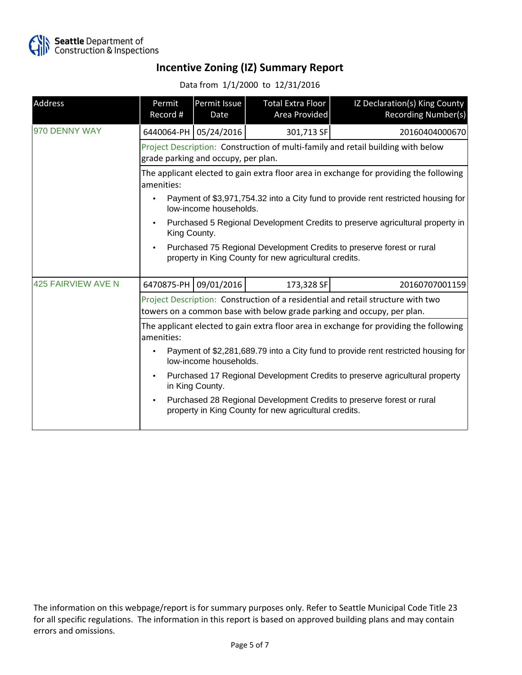

Data from 1/1/2000 to 12/31/2016

| <b>Address</b>            | Permit<br>Record #                                                                                                                                         | Permit Issue<br>Date    | Total Extra Floor<br>Area Provided | IZ Declaration(s) King County<br>Recording Number(s) |  |
|---------------------------|------------------------------------------------------------------------------------------------------------------------------------------------------------|-------------------------|------------------------------------|------------------------------------------------------|--|
| 970 DENNY WAY             |                                                                                                                                                            | 6440064-PH   05/24/2016 | 301,713 SF                         | 20160404000670                                       |  |
|                           | Project Description: Construction of multi-family and retail building with below<br>grade parking and occupy, per plan.                                    |                         |                                    |                                                      |  |
|                           | The applicant elected to gain extra floor area in exchange for providing the following<br>amenities:                                                       |                         |                                    |                                                      |  |
|                           | Payment of \$3,971,754.32 into a City fund to provide rent restricted housing for<br>low-income households.                                                |                         |                                    |                                                      |  |
|                           | Purchased 5 Regional Development Credits to preserve agricultural property in<br>King County.                                                              |                         |                                    |                                                      |  |
|                           | Purchased 75 Regional Development Credits to preserve forest or rural<br>$\bullet$<br>property in King County for new agricultural credits.                |                         |                                    |                                                      |  |
| <b>425 FAIRVIEW AVE N</b> |                                                                                                                                                            | 6470875-PH 09/01/2016   | 173,328 SF                         | 20160707001159                                       |  |
|                           | Project Description: Construction of a residential and retail structure with two<br>towers on a common base with below grade parking and occupy, per plan. |                         |                                    |                                                      |  |
|                           | The applicant elected to gain extra floor area in exchange for providing the following<br>amenities:                                                       |                         |                                    |                                                      |  |
|                           | Payment of \$2,281,689.79 into a City fund to provide rent restricted housing for<br>low-income households.                                                |                         |                                    |                                                      |  |
|                           | Purchased 17 Regional Development Credits to preserve agricultural property<br>$\bullet$<br>in King County.                                                |                         |                                    |                                                      |  |
|                           | Purchased 28 Regional Development Credits to preserve forest or rural<br>$\bullet$<br>property in King County for new agricultural credits.                |                         |                                    |                                                      |  |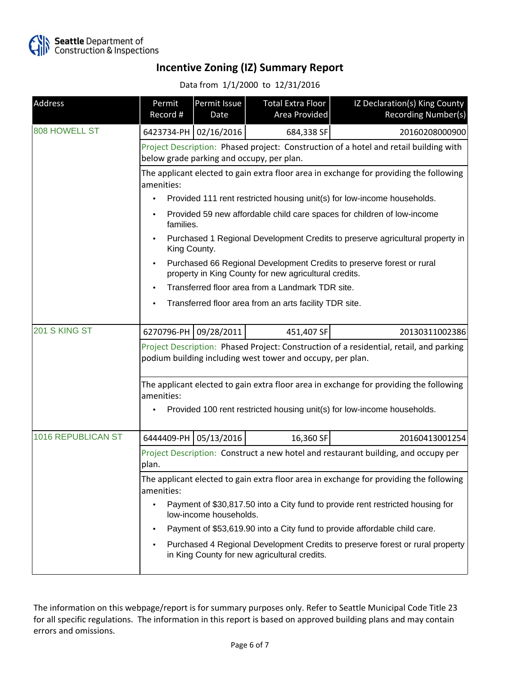

Data from 1/1/2000 to 12/31/2016

| Address            | Permit<br>Record #                                                                                                                                                              | Permit Issue<br>Date  | Total Extra Floor<br>Area Provided                     | IZ Declaration(s) King County<br>Recording Number(s)                                   |  |
|--------------------|---------------------------------------------------------------------------------------------------------------------------------------------------------------------------------|-----------------------|--------------------------------------------------------|----------------------------------------------------------------------------------------|--|
| 808 HOWELL ST      |                                                                                                                                                                                 | 6423734-PH 02/16/2016 | 684,338 SF                                             | 20160208000900                                                                         |  |
|                    |                                                                                                                                                                                 |                       | below grade parking and occupy, per plan.              | Project Description: Phased project: Construction of a hotel and retail building with  |  |
|                    | The applicant elected to gain extra floor area in exchange for providing the following<br>amenities:                                                                            |                       |                                                        |                                                                                        |  |
|                    |                                                                                                                                                                                 |                       |                                                        | Provided 111 rent restricted housing unit(s) for low-income households.                |  |
|                    | families.                                                                                                                                                                       |                       |                                                        | Provided 59 new affordable child care spaces for children of low-income                |  |
|                    | Purchased 1 Regional Development Credits to preserve agricultural property in<br>King County.                                                                                   |                       |                                                        |                                                                                        |  |
|                    | Purchased 66 Regional Development Credits to preserve forest or rural<br>property in King County for new agricultural credits.                                                  |                       |                                                        |                                                                                        |  |
|                    | Transferred floor area from a Landmark TDR site.                                                                                                                                |                       |                                                        |                                                                                        |  |
|                    |                                                                                                                                                                                 |                       | Transferred floor area from an arts facility TDR site. |                                                                                        |  |
| 201 S KING ST      |                                                                                                                                                                                 | 6270796-PH 09/28/2011 | 451,407 SF                                             | 20130311002386                                                                         |  |
|                    | Project Description: Phased Project: Construction of a residential, retail, and parking<br>podium building including west tower and occupy, per plan.                           |                       |                                                        |                                                                                        |  |
|                    | The applicant elected to gain extra floor area in exchange for providing the following<br>amenities:<br>Provided 100 rent restricted housing unit(s) for low-income households. |                       |                                                        |                                                                                        |  |
| 1016 REPUBLICAN ST |                                                                                                                                                                                 | 6444409-PH 05/13/2016 | 16,360 SF                                              | 20160413001254                                                                         |  |
|                    | plan.                                                                                                                                                                           |                       |                                                        | Project Description: Construct a new hotel and restaurant building, and occupy per     |  |
|                    | amenities:                                                                                                                                                                      |                       |                                                        | The applicant elected to gain extra floor area in exchange for providing the following |  |
|                    | Payment of \$30,817.50 into a City fund to provide rent restricted housing for<br>low-income households.                                                                        |                       |                                                        |                                                                                        |  |
|                    | Payment of \$53,619.90 into a City fund to provide affordable child care.                                                                                                       |                       |                                                        |                                                                                        |  |
|                    |                                                                                                                                                                                 |                       | in King County for new agricultural credits.           | Purchased 4 Regional Development Credits to preserve forest or rural property          |  |